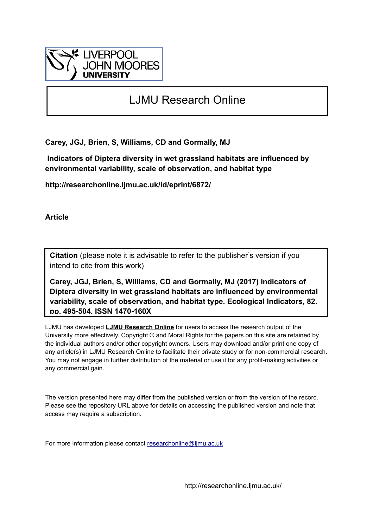

# LJMU Research Online

**Carey, JGJ, Brien, S, Williams, CD and Gormally, MJ**

 **Indicators of Diptera diversity in wet grassland habitats are influenced by environmental variability, scale of observation, and habitat type**

**http://researchonline.ljmu.ac.uk/id/eprint/6872/**

**Article**

**Citation** (please note it is advisable to refer to the publisher's version if you intend to cite from this work)

**Carey, JGJ, Brien, S, Williams, CD and Gormally, MJ (2017) Indicators of Diptera diversity in wet grassland habitats are influenced by environmental variability, scale of observation, and habitat type. Ecological Indicators, 82. pp. 495-504. ISSN 1470-160X** 

LJMU has developed **[LJMU Research Online](http://researchonline.ljmu.ac.uk/)** for users to access the research output of the University more effectively. Copyright © and Moral Rights for the papers on this site are retained by the individual authors and/or other copyright owners. Users may download and/or print one copy of any article(s) in LJMU Research Online to facilitate their private study or for non-commercial research. You may not engage in further distribution of the material or use it for any profit-making activities or any commercial gain.

The version presented here may differ from the published version or from the version of the record. Please see the repository URL above for details on accessing the published version and note that access may require a subscription.

For more information please contact [researchonline@ljmu.ac.uk](mailto:researchonline@ljmu.ac.uk)

http://researchonline.ljmu.ac.uk/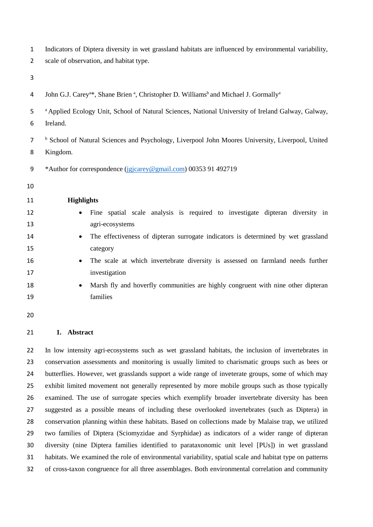| $\mathbf{1}$<br>$\overline{2}$ | Indicators of Diptera diversity in wet grassland habitats are influenced by environmental variability,<br>scale of observation, and habitat type. |
|--------------------------------|---------------------------------------------------------------------------------------------------------------------------------------------------|
| 3                              |                                                                                                                                                   |
| 4                              | John G.J. Carey <sup>a*</sup> , Shane Brien <sup>a</sup> , Christopher D. Williams <sup>b</sup> and Michael J. Gormally <sup>a</sup>              |
| 5<br>6                         | <sup>a</sup> Applied Ecology Unit, School of Natural Sciences, National University of Ireland Galway, Galway,<br>Ireland.                         |
| $\overline{7}$<br>8            | <sup>b</sup> School of Natural Sciences and Psychology, Liverpool John Moores University, Liverpool, United<br>Kingdom.                           |
| 9                              | *Author for correspondence (jgjcarey@gmail.com) 00353 91 492719                                                                                   |
| 10                             |                                                                                                                                                   |
| 11<br>12                       | <b>Highlights</b><br>Fine spatial scale analysis is required to investigate dipteran diversity in                                                 |
| 13                             | agri-ecosystems                                                                                                                                   |
| 14                             | The effectiveness of dipteran surrogate indicators is determined by wet grassland<br>$\bullet$                                                    |
| 15                             | category                                                                                                                                          |
| 16                             | The scale at which invertebrate diversity is assessed on farmland needs further                                                                   |
| 17                             | investigation                                                                                                                                     |
| 18                             | Marsh fly and hoverfly communities are highly congruent with nine other dipteran                                                                  |
| 19                             | families                                                                                                                                          |
| 20                             |                                                                                                                                                   |
| 21                             | 1. Abstract                                                                                                                                       |
| 22                             | In low intensity agri-ecosystems such as wet grassland habitats, the inclusion of invertebrates in                                                |
| 23                             | conservation assessments and monitoring is usually limited to charismatic groups such as bees or                                                  |
| 24                             | butterflies. However, wet grasslands support a wide range of inveterate groups, some of which may                                                 |
| 25                             | exhibit limited movement not generally represented by more mobile groups such as those typically                                                  |
| 26                             | examined. The use of surrogate species which exemplify broader invertebrate diversity has been                                                    |
| 27                             | suggested as a possible means of including these overlooked invertebrates (such as Diptera) in                                                    |
| 28                             | conservation planning within these habitats. Based on collections made by Malaise trap, we utilized                                               |
| 29                             | two families of Diptera (Sciomyzidae and Syrphidae) as indicators of a wider range of dipteran                                                    |
| 30                             | diversity (nine Diptera families identified to parataxonomic unit level [PUs]) in wet grassland                                                   |
| 31                             | habitats. We examined the role of environmental variability, spatial scale and habitat type on patterns                                           |
| 32                             | of cross-taxon congruence for all three assemblages. Both environmental correlation and community                                                 |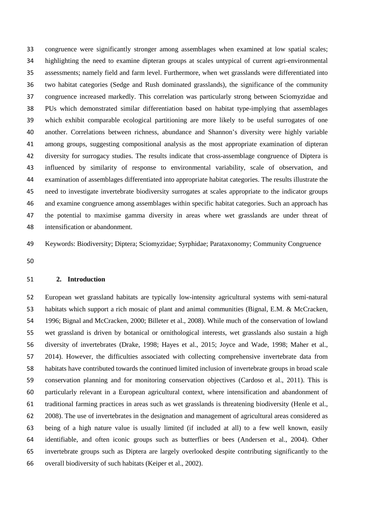congruence were significantly stronger among assemblages when examined at low spatial scales; highlighting the need to examine dipteran groups at scales untypical of current agri-environmental assessments; namely field and farm level. Furthermore, when wet grasslands were differentiated into two habitat categories (Sedge and Rush dominated grasslands), the significance of the community congruence increased markedly. This correlation was particularly strong between Sciomyzidae and PUs which demonstrated similar differentiation based on habitat type-implying that assemblages which exhibit comparable ecological partitioning are more likely to be useful surrogates of one another. Correlations between richness, abundance and Shannon's diversity were highly variable among groups, suggesting compositional analysis as the most appropriate examination of dipteran diversity for surrogacy studies. The results indicate that cross-assemblage congruence of Diptera is influenced by similarity of response to environmental variability, scale of observation, and examination of assemblages differentiated into appropriate habitat categories. The results illustrate the need to investigate invertebrate biodiversity surrogates at scales appropriate to the indicator groups and examine congruence among assemblages within specific habitat categories. Such an approach has the potential to maximise gamma diversity in areas where wet grasslands are under threat of intensification or abandonment.

Keywords: Biodiversity; Diptera; Sciomyzidae; Syrphidae; Parataxonomy; Community Congruence

#### **2. Introduction**

 European wet grassland habitats are typically low-intensity agricultural systems with semi-natural habitats which support a rich mosaic of plant and animal communities (Bignal, E.M. & McCracken, 1996; Bignal and McCracken, 2000; Billeter et al., 2008). While much of the conservation of lowland wet grassland is driven by botanical or ornithological interests, wet grasslands also sustain a high diversity of invertebrates (Drake, 1998; Hayes et al., 2015; Joyce and Wade, 1998; Maher et al., 2014). However, the difficulties associated with collecting comprehensive invertebrate data from habitats have contributed towards the continued limited inclusion of invertebrate groups in broad scale conservation planning and for monitoring conservation objectives (Cardoso et al., 2011). This is particularly relevant in a European agricultural context, where intensification and abandonment of traditional farming practices in areas such as wet grasslands is threatening biodiversity (Henle et al., 2008). The use of invertebrates in the designation and management of agricultural areas considered as being of a high nature value is usually limited (if included at all) to a few well known, easily identifiable, and often iconic groups such as butterflies or bees (Andersen et al., 2004). Other invertebrate groups such as Diptera are largely overlooked despite contributing significantly to the overall biodiversity of such habitats (Keiper et al., 2002).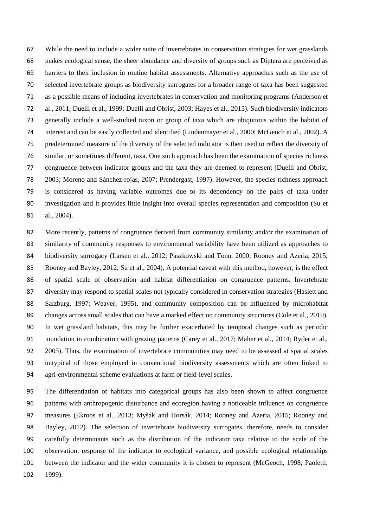While the need to include a wider suite of invertebrates in conservation strategies for wet grasslands makes ecological sense, the sheer abundance and diversity of groups such as Diptera are perceived as barriers to their inclusion in routine habitat assessments. Alternative approaches such as the use of selected invertebrate groups as biodiversity surrogates for a broader range of taxa has been suggested as a possible means of including invertebrates in conservation and monitoring programs (Anderson et al., 2011; Duelli et al., 1999; Duelli and Obrist, 2003; Hayes et al., 2015). Such biodiversity indicators generally include a well-studied taxon or group of taxa which are ubiquitous within the habitat of interest and can be easily collected and identified (Lindenmayer et al., 2000; McGeoch et al., 2002). A predetermined measure of the diversity of the selected indicator is then used to reflect the diversity of similar, or sometimes different, taxa. One such approach has been the examination of species richness congruence between indicator groups and the taxa they are deemed to represent (Duelli and Obrist, 2003; Moreno and Sánchez-rojas, 2007; Prendergast, 1997). However, the species richness approach is considered as having variable outcomes due to its dependency on the pairs of taxa under investigation and it provides little insight into overall species representation and composition (Su et al., 2004).

82 More recently, patterns of congruence derived from community similarity and/or the examination of similarity of community responses to environmental variability have been utilized as approaches to biodiversity surrogacy (Larsen et al., 2012; Paszkowski and Tonn, 2000; Rooney and Azeria, 2015; Rooney and Bayley, 2012; Su et al., 2004). A potential caveat with this method, however, is the effect of spatial scale of observation and habitat differentiation on congruence patterns. Invertebrate diversity may respond to spatial scales not typically considered in conservation strategies (Haslett and Salzburg, 1997; Weaver, 1995), and community composition can be influenced by microhabitat 89 changes across small scales that can have a marked effect on community structures (Cole et al., 2010). In wet grassland habitats, this may be further exacerbated by temporal changes such as periodic inundation in combination with grazing patterns (Carey et al., 2017; Maher et al., 2014; Ryder et al., 2005). Thus, the examination of invertebrate communities may need to be assessed at spatial scales untypical of those employed in conventional biodiversity assessments which are often linked to agri-environmental scheme evaluations at farm or field-level scales.

 The differentiation of habitats into categorical groups has also been shown to affect congruence patterns with anthropogenic disturbance and ecoregion having a noticeable influence on congruence measures (Ekroos et al., 2013; Myšák and Horsák, 2014; Rooney and Azeria, 2015; Rooney and Bayley, 2012). The selection of invertebrate biodiversity surrogates, therefore, needs to consider carefully determinants such as the distribution of the indicator taxa relative to the scale of the observation, response of the indicator to ecological variance, and possible ecological relationships between the indicator and the wider community it is chosen to represent (McGeoch, 1998; Paoletti, 1999).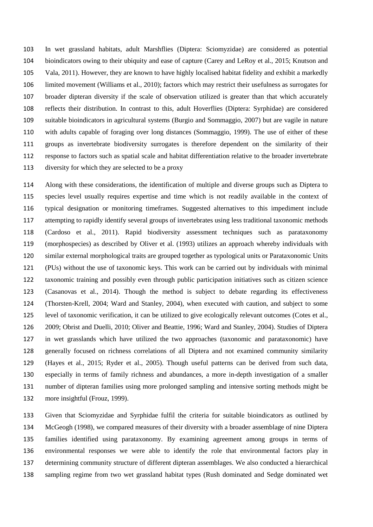In wet grassland habitats, adult Marshflies (Diptera: Sciomyzidae) are considered as potential bioindicators owing to their ubiquity and ease of capture (Carey and LeRoy et al., 2015; Knutson and Vala, 2011). However, they are known to have highly localised habitat fidelity and exhibit a markedly limited movement (Williams et al., 2010); factors which may restrict their usefulness as surrogates for broader dipteran diversity if the scale of observation utilized is greater than that which accurately reflects their distribution. In contrast to this, adult Hoverflies (Diptera: Syrphidae) are considered suitable bioindicators in agricultural systems (Burgio and Sommaggio, 2007) but are vagile in nature with adults capable of foraging over long distances (Sommaggio, 1999). The use of either of these groups as invertebrate biodiversity surrogates is therefore dependent on the similarity of their response to factors such as spatial scale and habitat differentiation relative to the broader invertebrate diversity for which they are selected to be a proxy

 Along with these considerations, the identification of multiple and diverse groups such as Diptera to species level usually requires expertise and time which is not readily available in the context of typical designation or monitoring timeframes. Suggested alternatives to this impediment include attempting to rapidly identify several groups of invertebrates using less traditional taxonomic methods (Cardoso et al., 2011). Rapid biodiversity assessment techniques such as parataxonomy (morphospecies) as described by Oliver et al. (1993) utilizes an approach whereby individuals with similar external morphological traits are grouped together as typological units or Parataxonomic Units (PUs) without the use of taxonomic keys. This work can be carried out by individuals with minimal taxonomic training and possibly even through public participation initiatives such as citizen science (Casanovas et al., 2014). Though the method is subject to debate regarding its effectiveness (Thorsten-Krell, 2004; Ward and Stanley, 2004), when executed with caution, and subject to some level of taxonomic verification, it can be utilized to give ecologically relevant outcomes (Cotes et al., 2009; Obrist and Duelli, 2010; Oliver and Beattie, 1996; Ward and Stanley, 2004). Studies of Diptera in wet grasslands which have utilized the two approaches (taxonomic and parataxonomic) have generally focused on richness correlations of all Diptera and not examined community similarity (Hayes et al., 2015; Ryder et al., 2005). Though useful patterns can be derived from such data, especially in terms of family richness and abundances, a more in-depth investigation of a smaller number of dipteran families using more prolonged sampling and intensive sorting methods might be more insightful (Frouz, 1999).

 Given that Sciomyzidae and Syrphidae fulfil the criteria for suitable bioindicators as outlined by McGeogh (1998), we compared measures of their diversity with a broader assemblage of nine Diptera families identified using parataxonomy. By examining agreement among groups in terms of environmental responses we were able to identify the role that environmental factors play in determining community structure of different dipteran assemblages. We also conducted a hierarchical sampling regime from two wet grassland habitat types (Rush dominated and Sedge dominated wet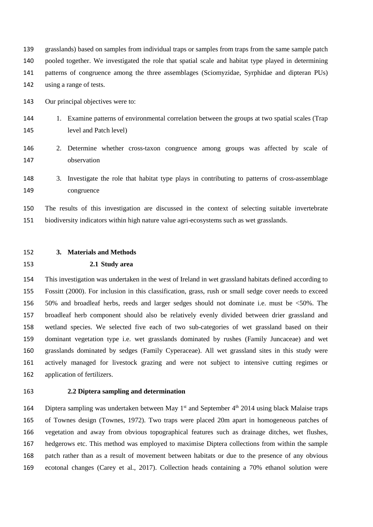grasslands) based on samples from individual traps or samples from traps from the same sample patch pooled together. We investigated the role that spatial scale and habitat type played in determining patterns of congruence among the three assemblages (Sciomyzidae, Syrphidae and dipteran PUs) using a range of tests.

Our principal objectives were to:

- 144 1. Examine patterns of environmental correlation between the groups at two spatial scales (Trap level and Patch level)
- 2. Determine whether cross-taxon congruence among groups was affected by scale of observation
- 3. Investigate the role that habitat type plays in contributing to patterns of cross-assemblage congruence

 The results of this investigation are discussed in the context of selecting suitable invertebrate biodiversity indicators within high nature value agri-ecosystems such as wet grasslands.

#### **3. Materials and Methods**

# **2.1 Study area**

 This investigation was undertaken in the west of Ireland in wet grassland habitats defined according to Fossitt (2000). For inclusion in this classification, grass, rush or small sedge cover needs to exceed 50% and broadleaf herbs, reeds and larger sedges should not dominate i.e. must be <50%. The broadleaf herb component should also be relatively evenly divided between drier grassland and wetland species. We selected five each of two sub-categories of wet grassland based on their dominant vegetation type i.e. wet grasslands dominated by rushes (Family Juncaceae) and wet grasslands dominated by sedges (Family Cyperaceae). All wet grassland sites in this study were actively managed for livestock grazing and were not subject to intensive cutting regimes or application of fertilizers.

#### **2.2 Diptera sampling and determination**

164 Diptera sampling was undertaken between May  $1<sup>st</sup>$  and September  $4<sup>th</sup>$  2014 using black Malaise traps of Townes design (Townes, 1972). Two traps were placed 20m apart in homogeneous patches of vegetation and away from obvious topographical features such as drainage ditches, wet flushes, hedgerows etc. This method was employed to maximise Diptera collections from within the sample patch rather than as a result of movement between habitats or due to the presence of any obvious ecotonal changes (Carey et al., 2017). Collection heads containing a 70% ethanol solution were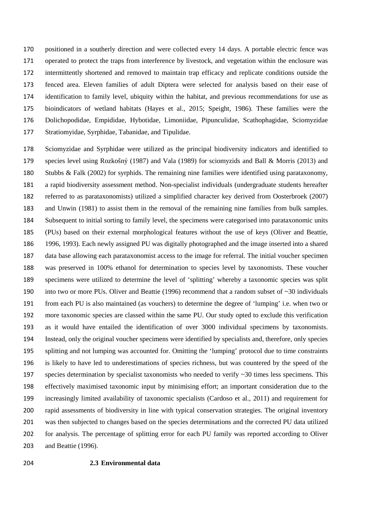positioned in a southerly direction and were collected every 14 days. A portable electric fence was operated to protect the traps from interference by livestock, and vegetation within the enclosure was intermittently shortened and removed to maintain trap efficacy and replicate conditions outside the fenced area. Eleven families of adult Diptera were selected for analysis based on their ease of identification to family level, ubiquity within the habitat, and previous recommendations for use as bioindicators of wetland habitats (Hayes et al., 2015; Speight, 1986). These families were the Dolichopodidae, Empididae, Hybotidae, Limoniidae, Pipunculidae, Scathophagidae, Sciomyzidae Stratiomyidae, Syrphidae, Tabanidae, and Tipulidae.

 Sciomyzidae and Syrphidae were utilized as the principal biodiversity indicators and identified to species level using Rozkošný (1987) and Vala (1989) for sciomyzids and Ball & Morris (2013) and Stubbs & Falk (2002) for syrphids. The remaining nine families were identified using parataxonomy, a rapid biodiversity assessment method. Non-specialist individuals (undergraduate students hereafter referred to as parataxonomists) utilized a simplified character key derived from Oosterbroek (2007) and Unwin (1981) to assist them in the removal of the remaining nine families from bulk samples. Subsequent to initial sorting to family level, the specimens were categorised into parataxonomic units (PUs) based on their external morphological features without the use of keys (Oliver and Beattie, 1996, 1993). Each newly assigned PU was digitally photographed and the image inserted into a shared data base allowing each parataxonomist access to the image for referral. The initial voucher specimen was preserved in 100% ethanol for determination to species level by taxonomists. These voucher specimens were utilized to determine the level of 'splitting' whereby a taxonomic species was split into two or more PUs. Oliver and Beattie (1996) recommend that a random subset of ~30 individuals from each PU is also maintained (as vouchers) to determine the degree of 'lumping' i.e. when two or more taxonomic species are classed within the same PU. Our study opted to exclude this verification as it would have entailed the identification of over 3000 individual specimens by taxonomists. Instead, only the original voucher specimens were identified by specialists and, therefore, only species splitting and not lumping was accounted for. Omitting the 'lumping' protocol due to time constraints is likely to have led to underestimations of species richness, but was countered by the speed of the species determination by specialist taxonomists who needed to verify ~30 times less specimens. This effectively maximised taxonomic input by minimising effort; an important consideration due to the increasingly limited availability of taxonomic specialists (Cardoso et al., 2011) and requirement for rapid assessments of biodiversity in line with typical conservation strategies. The original inventory was then subjected to changes based on the species determinations and the corrected PU data utilized for analysis. The percentage of splitting error for each PU family was reported according to Oliver and Beattie (1996).

# **2.3 Environmental data**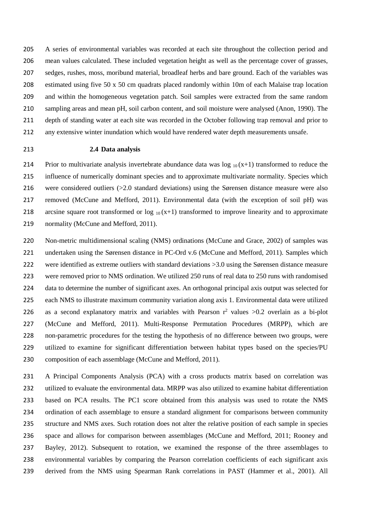A series of environmental variables was recorded at each site throughout the collection period and mean values calculated. These included vegetation height as well as the percentage cover of grasses, sedges, rushes, moss, moribund material, broadleaf herbs and bare ground. Each of the variables was estimated using five 50 x 50 cm quadrats placed randomly within 10m of each Malaise trap location and within the homogeneous vegetation patch. Soil samples were extracted from the same random sampling areas and mean pH, soil carbon content, and soil moisture were analysed (Anon, 1990). The depth of standing water at each site was recorded in the October following trap removal and prior to any extensive winter inundation which would have rendered water depth measurements unsafe.

# **2.4 Data analysis**

214 Prior to multivariate analysis invertebrate abundance data was  $log_{10}(x+1)$  transformed to reduce the influence of numerically dominant species and to approximate multivariate normality. Species which were considered outliers (>2.0 standard deviations) using the Sørensen distance measure were also removed (McCune and Mefford, 2011). Environmental data (with the exception of soil pH) was 218 arcsine square root transformed or  $log_{10}(x+1)$  transformed to improve linearity and to approximate 219 normality (McCune and Mefford, 2011).

 Non-metric multidimensional scaling (NMS) ordinations (McCune and Grace, 2002) of samples was undertaken using the Sørensen distance in PC-Ord v.6 (McCune and Mefford, 2011). Samples which 222 were identified as extreme outliers with standard deviations > 3.0 using the Sørensen distance measure were removed prior to NMS ordination. We utilized 250 runs of real data to 250 runs with randomised data to determine the number of significant axes. An orthogonal principal axis output was selected for each NMS to illustrate maximum community variation along axis 1. Environmental data were utilized 226 as a second explanatory matrix and variables with Pearson  $r^2$  values  $>0.2$  overlain as a bi-plot (McCune and Mefford, 2011). Multi-Response Permutation Procedures (MRPP), which are non-parametric procedures for the testing the hypothesis of no difference between two groups, were utilized to examine for significant differentiation between habitat types based on the species/PU composition of each assemblage (McCune and Mefford, 2011).

 A Principal Components Analysis (PCA) with a cross products matrix based on correlation was utilized to evaluate the environmental data. MRPP was also utilized to examine habitat differentiation based on PCA results. The PC1 score obtained from this analysis was used to rotate the NMS ordination of each assemblage to ensure a standard alignment for comparisons between community structure and NMS axes. Such rotation does not alter the relative position of each sample in species space and allows for comparison between assemblages (McCune and Mefford, 2011; Rooney and Bayley, 2012). Subsequent to rotation, we examined the response of the three assemblages to environmental variables by comparing the Pearson correlation coefficients of each significant axis derived from the NMS using Spearman Rank correlations in PAST (Hammer et al., 2001). All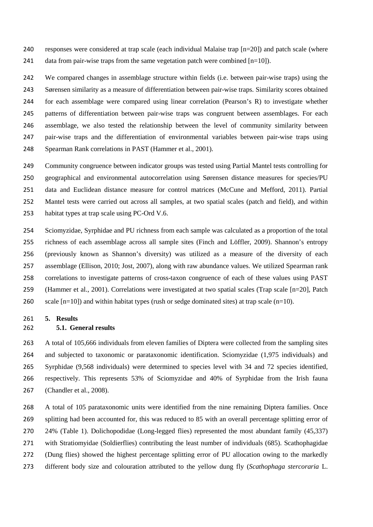responses were considered at trap scale (each individual Malaise trap [n=20]) and patch scale (where 241 data from pair-wise traps from the same vegetation patch were combined  $[n=10]$ .

 We compared changes in assemblage structure within fields (i.e. between pair-wise traps) using the Sørensen similarity as a measure of differentiation between pair-wise traps. Similarity scores obtained for each assemblage were compared using linear correlation (Pearson's R) to investigate whether patterns of differentiation between pair-wise traps was congruent between assemblages. For each assemblage, we also tested the relationship between the level of community similarity between pair-wise traps and the differentiation of environmental variables between pair-wise traps using Spearman Rank correlations in PAST (Hammer et al., 2001).

 Community congruence between indicator groups was tested using Partial Mantel tests controlling for geographical and environmental autocorrelation using Sørensen distance measures for species/PU data and Euclidean distance measure for control matrices (McCune and Mefford, 2011). Partial Mantel tests were carried out across all samples, at two spatial scales (patch and field), and within habitat types at trap scale using PC-Ord V.6.

 Sciomyzidae, Syrphidae and PU richness from each sample was calculated as a proportion of the total richness of each assemblage across all sample sites (Finch and Löffler, 2009). Shannon's entropy (previously known as Shannon's diversity) was utilized as a measure of the diversity of each assemblage (Ellison, 2010; Jost, 2007), along with raw abundance values. We utilized Spearman rank correlations to investigate patterns of cross-taxon congruence of each of these values using PAST 259 (Hammer et al., 2001). Correlations were investigated at two spatial scales (Trap scale [n=20], Patch 260 scale  $[n=10]$ ) and within habitat types (rush or sedge dominated sites) at trap scale  $(n=10)$ .

# **5. Results**

# **5.1. General results**

 A total of 105,666 individuals from eleven families of Diptera were collected from the sampling sites and subjected to taxonomic or parataxonomic identification. Sciomyzidae (1,975 individuals) and Syrphidae (9,568 individuals) were determined to species level with 34 and 72 species identified, respectively. This represents 53% of Sciomyzidae and 40% of Syrphidae from the Irish fauna (Chandler et al., 2008).

 A total of 105 parataxonomic units were identified from the nine remaining Diptera families. Once splitting had been accounted for, this was reduced to 85 with an overall percentage splitting error of 24% (Table 1). Dolichopodidae (Long-legged flies) represented the most abundant family (45,337) with Stratiomyidae (Soldierflies) contributing the least number of individuals (685). Scathophagidae (Dung flies) showed the highest percentage splitting error of PU allocation owing to the markedly different body size and colouration attributed to the yellow dung fly (*Scathophaga stercoraria* L.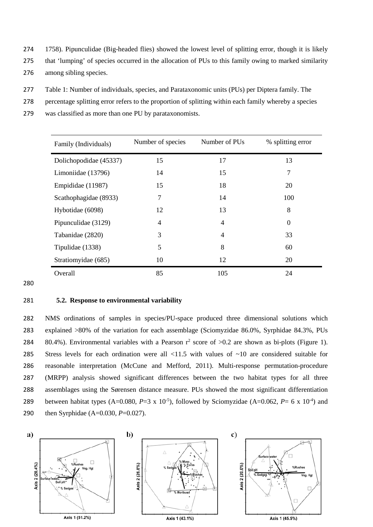- 274 1758). Pipunculidae (Big-headed flies) showed the lowest level of splitting error, though it is likely 275 that 'lumping' of species occurred in the allocation of PUs to this family owing to marked similarity
- 276 among sibling species.
	- 277 Table 1: Number of individuals, species, and Parataxonomic units (PUs) per Diptera family. The
	- 278 percentage splitting error refers to the proportion of splitting within each family whereby a species
	- 279 was classified as more than one PU by parataxonomists.

| Family (Individuals)   | Number of species | Number of PU <sub>s</sub> | % splitting error |  |  |
|------------------------|-------------------|---------------------------|-------------------|--|--|
| Dolichopodidae (45337) | 15                | 17                        | 13                |  |  |
| Limoniidae (13796)     | 14                | 15                        | 7                 |  |  |
| Empididae (11987)      | 15                | 18                        | 20                |  |  |
| Scathophagidae (8933)  | 7                 | 14                        | 100               |  |  |
| Hybotidae (6098)       | 12                | 13                        | 8                 |  |  |
| Pipunculidae (3129)    | 4                 | 4                         | $\theta$          |  |  |
| Tabanidae (2820)       | 3                 | 4                         | 33                |  |  |
| Tipulidae (1338)       | 5                 | 8                         | 60                |  |  |
| Stratiomyidae (685)    | 10                | 12                        | 20                |  |  |
| Overall                | 85                | 105                       | 24                |  |  |

280

# 281 **5.2. Response to environmental variability**

 NMS ordinations of samples in species/PU-space produced three dimensional solutions which explained >80% of the variation for each assemblage (Sciomyzidae 86.0%, Syrphidae 84.3%, PUs 284 80.4%). Environmental variables with a Pearson  $r^2$  score of  $>0.2$  are shown as bi-plots (Figure 1). Stress levels for each ordination were all <11.5 with values of ~10 are considered suitable for reasonable interpretation (McCune and Mefford, 2011). Multi-response permutation-procedure (MRPP) analysis showed significant differences between the two habitat types for all three assemblages using the Sørensen distance measure. PUs showed the most significant differentiation 289 between habitat types (A=0.080,  $P=3 \times 10^{-5}$ ), followed by Sciomyzidae (A=0.062,  $P=6 \times 10^{-4}$ ) and then Syrphidae (A=0.030, *P*=0.027).

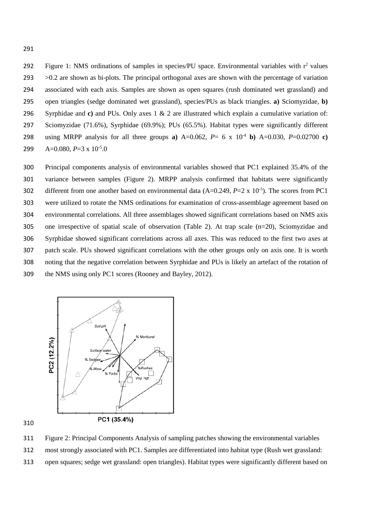Figure 1: NMS ordinations of samples in species/PU space. Environmental variables with  $r^2$  values  $>0.2$  are shown as bi-plots. The principal orthogonal axes are shown with the percentage of variation associated with each axis. Samples are shown as open squares (rush dominated wet grassland) and open triangles (sedge dominated wet grassland), species/PUs as black triangles. **a)** Sciomyzidae, **b)** Syrphidae and **c)** and PUs. Only axes 1 & 2 are illustrated which explain a cumulative variation of: Sciomyzidae (71.6%), Syrphidae (69.9%); PUs (65.5%). Habitat types were significantly different 298 using MRPP analysis for all three groups **a**) A=0.062,  $P = 6 \times 10^{-4}$  b) A=0.030,  $P=0.02700$  **c**)  $A=0.080, P=3 \times 10^{-5}$ .0

 Principal components analysis of environmental variables showed that PC1 explained 35.4% of the variance between samples (Figure 2). MRPP analysis confirmed that habitats were significantly 302 different from one another based on environmental data  $(A=0.249, P=2 \times 10^{-5})$ . The scores from PC1 were utilized to rotate the NMS ordinations for examination of cross-assemblage agreement based on environmental correlations. All three assemblages showed significant correlations based on NMS axis one irrespective of spatial scale of observation (Table 2). At trap scale (n=20), Sciomyzidae and Syrphidae showed significant correlations across all axes. This was reduced to the first two axes at patch scale. PUs showed significant correlations with the other groups only on axis one. It is worth noting that the negative correlation between Syrphidae and PUs is likely an artefact of the rotation of the NMS using only PC1 scores (Rooney and Bayley, 2012).



 Figure 2: Principal Components Analysis of sampling patches showing the environmental variables most strongly associated with PC1. Samples are differentiated into habitat type (Rush wet grassland: open squares; sedge wet grassland: open triangles). Habitat types were significantly different based on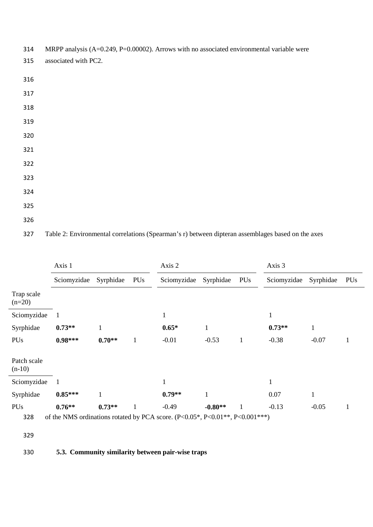| 314 | MRPP analysis $(A=0.249, P=0.00002)$ . Arrows with no associated environmental variable were |
|-----|----------------------------------------------------------------------------------------------|
| 315 | associated with PC2.                                                                         |
| 316 |                                                                                              |
| 317 |                                                                                              |
| 318 |                                                                                              |
| 319 |                                                                                              |
| 320 |                                                                                              |
| 321 |                                                                                              |
| 322 |                                                                                              |
| 323 |                                                                                              |
| 324 |                                                                                              |
| 325 |                                                                                              |
| 326 |                                                                                              |

# 327 Table 2: Environmental correlations (Spearman's r) between dipteran assemblages based on the axes

|                         | Axis 1       |              |              | Axis 2                                                                                       |              |              | Axis 3                   |           |              |  |
|-------------------------|--------------|--------------|--------------|----------------------------------------------------------------------------------------------|--------------|--------------|--------------------------|-----------|--------------|--|
|                         | Sciomyzidae  | Syrphidae    | PUs          | Sciomyzidae                                                                                  | Syrphidae    | PUs          | Sciomyzidae              | Syrphidae | PUs          |  |
| Trap scale<br>$(n=20)$  |              |              |              |                                                                                              |              |              |                          |           |              |  |
| Sciomyzidae             | $\mathbf{1}$ |              |              | $\mathbf{1}$                                                                                 |              |              | 1                        |           |              |  |
| Syrphidae               | $0.73**$     | $\mathbf{1}$ |              | $0.65*$                                                                                      | $\mathbf{1}$ |              | $\mathbf{1}$<br>$0.73**$ |           |              |  |
| PUs                     | $0.98***$    | $0.70**$     | $\mathbf{1}$ | $-0.01$                                                                                      | $-0.53$      | $\mathbf{1}$ | $-0.38$                  | $-0.07$   | $\mathbf{1}$ |  |
| Patch scale<br>$(n-10)$ |              |              |              |                                                                                              |              |              |                          |           |              |  |
| Sciomyzidae             | $\mathbf{1}$ |              |              | $\mathbf{1}$                                                                                 |              |              | $\mathbf{1}$             |           |              |  |
| Syrphidae               | $0.85***$    | $\mathbf{1}$ |              | $0.79**$                                                                                     | $\mathbf{1}$ |              | 0.07                     | 1         |              |  |
| PUs                     | $0.76**$     | $0.73**$     | $\mathbf{1}$ | $-0.49$                                                                                      | $-0.80**$    | 1            | $-0.13$                  | $-0.05$   | 1            |  |
| 328                     |              |              |              | of the NMS ordinations rotated by PCA score. $(P<0.05^*$ , $P<0.01^{**}$ , $P<0.001^{***}$ ) |              |              |                          |           |              |  |
| 329                     |              |              |              |                                                                                              |              |              |                          |           |              |  |
| 330                     |              |              |              | 5.3. Community similarity between pair-wise traps                                            |              |              |                          |           |              |  |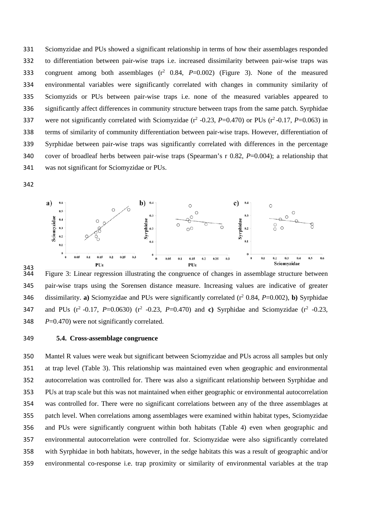Sciomyzidae and PUs showed a significant relationship in terms of how their assemblages responded to differentiation between pair-wise traps i.e. increased dissimilarity between pair-wise traps was 333 congruent among both assemblages  $(r^2 \t 0.84, P=0.002)$  (Figure 3). None of the measured environmental variables were significantly correlated with changes in community similarity of Sciomyzids or PUs between pair-wise traps i.e. none of the measured variables appeared to significantly affect differences in community structure between traps from the same patch. Syrphidae 337 were not significantly correlated with Sciomyzidae ( $r^2$  -0.23, *P*=0.470) or PUs ( $r^2$ -0.17, *P*=0.063) in terms of similarity of community differentiation between pair-wise traps. However, differentiation of Syrphidae between pair-wise traps was significantly correlated with differences in the percentage cover of broadleaf herbs between pair-wise traps (Spearman's r 0.82, *P*=0.004); a relationship that was not significant for Sciomyzidae or PUs.



343<br>344 Figure 3: Linear regression illustrating the congruence of changes in assemblage structure between pair-wise traps using the Sorensen distance measure. Increasing values are indicative of greater dissimilarity. **a**) Sciomyzidae and PUs were significantly correlated  $(r^2 0.84, P=0.002)$ , **b**) Syrphidae 347 and PUs  $(r^2 -0.17, P=0.0630)$   $(r^2 -0.23, P=0.470)$  and **c**) Syrphidae and Sciomyzidae  $(r^2 -0.23, P=0.470)$ *P*=0.470) were not significantly correlated.

# **5.4. Cross-assemblage congruence**

 Mantel R values were weak but significant between Sciomyzidae and PUs across all samples but only at trap level (Table 3). This relationship was maintained even when geographic and environmental autocorrelation was controlled for. There was also a significant relationship between Syrphidae and PUs at trap scale but this was not maintained when either geographic or environmental autocorrelation was controlled for. There were no significant correlations between any of the three assemblages at patch level. When correlations among assemblages were examined within habitat types, Sciomyzidae and PUs were significantly congruent within both habitats (Table 4) even when geographic and environmental autocorrelation were controlled for. Sciomyzidae were also significantly correlated with Syrphidae in both habitats, however, in the sedge habitats this was a result of geographic and/or environmental co-response i.e. trap proximity or similarity of environmental variables at the trap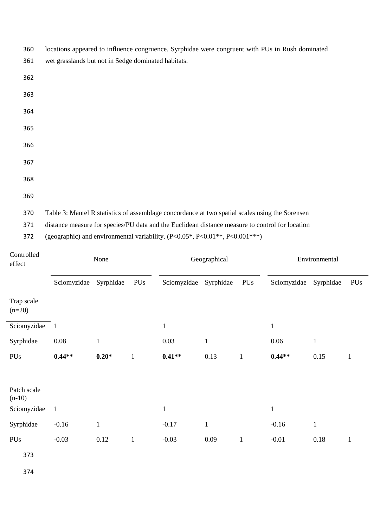| 360 | locations appeared to influence congruence. Syrphidae were congruent with PUs in Rush dominated |
|-----|-------------------------------------------------------------------------------------------------|
| 361 | wet grasslands but not in Sedge dominated habitats.                                             |
| 362 |                                                                                                 |
| 363 |                                                                                                 |
| 364 |                                                                                                 |
| 365 |                                                                                                 |
| 366 |                                                                                                 |
| 367 |                                                                                                 |
| 368 |                                                                                                 |
| 369 |                                                                                                 |
| 370 | Table 3: Mantel R statistics of assemblage concordance at two spatial scales using the Sorensen |

371 distance measure for species/PU data and the Euclidean distance measure to control for location

372 (geographic) and environmental variability. (P<0.05\*, P<0.01\*\*, P<0.001\*\*\*)

| Controlled<br>effect    |              | None         |              |              | Geographical |              | Environmental |              |              |  |  |
|-------------------------|--------------|--------------|--------------|--------------|--------------|--------------|---------------|--------------|--------------|--|--|
|                         | Sciomyzidae  | Syrphidae    | PUs          | Sciomyzidae  | Syrphidae    | PUs          | Sciomyzidae   | Syrphidae    | PUs          |  |  |
| Trap scale<br>$(n=20)$  |              |              |              |              |              |              |               |              |              |  |  |
| Sciomyzidae             | $\mathbf{1}$ |              |              | $\mathbf{1}$ |              |              | $\mathbf{1}$  |              |              |  |  |
| Syrphidae               | $0.08\,$     | $\mathbf{1}$ |              | 0.03         | $\mathbf{1}$ |              | 0.06          | $\mathbf{1}$ |              |  |  |
| $\rm PUs$               | $0.44**$     | $0.20*$      | $\mathbf 1$  | $0.41**$     | 0.13         | $\,1$        | $0.44**$      | 0.15         | $\mathbf{1}$ |  |  |
|                         |              |              |              |              |              |              |               |              |              |  |  |
| Patch scale<br>$(n-10)$ |              |              |              |              |              |              |               |              |              |  |  |
| Sciomyzidae             | $\mathbf{1}$ |              |              | $\mathbf 1$  |              |              | $\mathbf{1}$  |              |              |  |  |
| Syrphidae               | $-0.16$      | $\,1$        |              | $-0.17$      | $\mathbf{1}$ |              | $-0.16$       | $\,1\,$      |              |  |  |
| PUs                     | $-0.03$      | 0.12         | $\mathbf{1}$ | $-0.03$      | 0.09         | $\mathbf{1}$ | $-0.01$       | $0.18\,$     | $\mathbf{1}$ |  |  |
| 373                     |              |              |              |              |              |              |               |              |              |  |  |
| 374                     |              |              |              |              |              |              |               |              |              |  |  |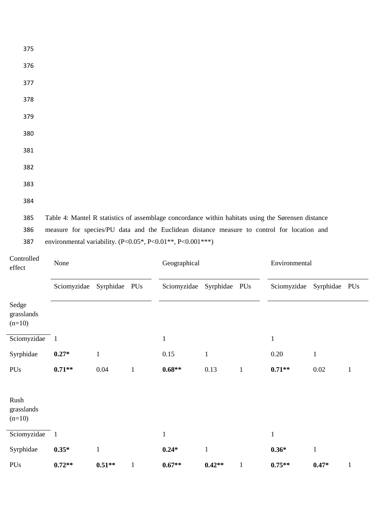| 375 |                                                                                                    |
|-----|----------------------------------------------------------------------------------------------------|
| 376 |                                                                                                    |
| 377 |                                                                                                    |
| 378 |                                                                                                    |
| 379 |                                                                                                    |
| 380 |                                                                                                    |
| 381 |                                                                                                    |
| 382 |                                                                                                    |
| 383 |                                                                                                    |
| 384 |                                                                                                    |
| 385 | Table 4: Mantel R statistics of assemblage concordance within habitats using the Sørensen distance |
| 386 | measure for species/PU data and the Euclidean distance measure to control for location and         |

387 environmental variability. (P<0.05\*, P<0.01\*\*, P<0.001\*\*\*)

| Controlled<br>effect            | None           |               |              | Geographical |              |              | Environmental |               |              |  |  |
|---------------------------------|----------------|---------------|--------------|--------------|--------------|--------------|---------------|---------------|--------------|--|--|
|                                 | Sciomyzidae    | Syrphidae PUs |              | Sciomyzidae  | Syrphidae    | PUs          | Sciomyzidae   | Syrphidae PUs |              |  |  |
| Sedge<br>grasslands<br>$(n=10)$ |                |               |              |              |              |              |               |               |              |  |  |
| Sciomyzidae                     | $\overline{1}$ |               |              | $\mathbf{1}$ |              |              | $\mathbf{1}$  |               |              |  |  |
| Syrphidae                       | $0.27*$        | $\mathbf{1}$  |              | 0.15         | $\mathbf{1}$ |              | 0.20          | $\mathbf 1$   |              |  |  |
| $\rm PUs$                       | $0.71**$       | 0.04          | $\mathbf{1}$ | $0.68**$     | 0.13         | $\mathbf{1}$ | $0.71**$      | 0.02          | $\mathbf{1}$ |  |  |
|                                 |                |               |              |              |              |              |               |               |              |  |  |
| Rush<br>grasslands<br>$(n=10)$  |                |               |              |              |              |              |               |               |              |  |  |
| Sciomyzidae                     | $\overline{1}$ |               |              | $\mathbf{1}$ |              |              | $\mathbf{1}$  |               |              |  |  |
| Syrphidae                       | $0.35*$        | $\mathbf{1}$  |              | $0.24*$      | $\mathbf{1}$ |              | $0.36*$       | $\mathbf 1$   |              |  |  |
| PUs                             | $0.72**$       | $0.51**$      | $\mathbf{1}$ | $0.67**$     | $0.42**$     | $\mathbf{1}$ | $0.75**$      | $0.47*$       | $\mathbf{1}$ |  |  |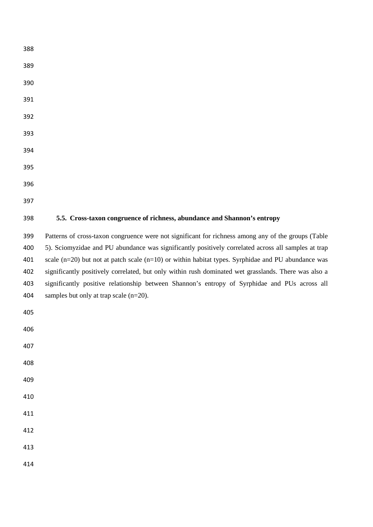**5.5. Cross-taxon congruence of richness, abundance and Shannon's entropy**

 Patterns of cross-taxon congruence were not significant for richness among any of the groups (Table 5). Sciomyzidae and PU abundance was significantly positively correlated across all samples at trap scale (n=20) but not at patch scale (n=10) or within habitat types. Syrphidae and PU abundance was significantly positively correlated, but only within rush dominated wet grasslands. There was also a significantly positive relationship between Shannon's entropy of Syrphidae and PUs across all samples but only at trap scale (n=20).

- 
- 

- 
- 
- 
- 
-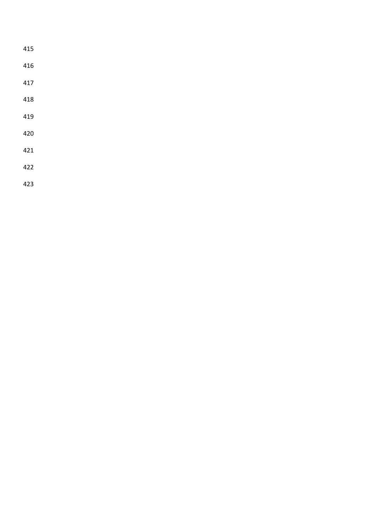- 
-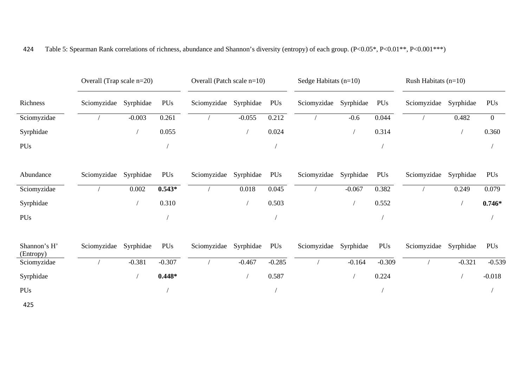424 Table 5: Spearman Rank correlations of richness, abundance and Shannon's diversity (entropy) of each group. (P<0.05\*, P<0.01\*\*, P<0.001\*\*\*)

|                           | Overall (Trap scale $n=20$ ) |           |          | Overall (Patch scale $n=10$ ) |           |          | Sedge Habitats $(n=10)$ |           |          | Rush Habitats $(n=10)$ |           |                |
|---------------------------|------------------------------|-----------|----------|-------------------------------|-----------|----------|-------------------------|-----------|----------|------------------------|-----------|----------------|
| Richness                  | Sciomyzidae                  | Syrphidae | PUs      | Sciomyzidae                   | Syrphidae | PUs      | Sciomyzidae             | Syrphidae | PUs      | Sciomyzidae            | Syrphidae | PUs            |
| Sciomyzidae               |                              | $-0.003$  | 0.261    |                               | $-0.055$  | 0.212    |                         | $-0.6$    | 0.044    |                        | 0.482     | $\overline{0}$ |
| Syrphidae                 |                              |           | 0.055    |                               |           | 0.024    |                         |           | 0.314    |                        |           | 0.360          |
| PUs                       |                              |           |          |                               |           |          |                         |           |          |                        |           |                |
| Abundance                 | Sciomyzidae                  | Syrphidae | PUs      | Sciomyzidae                   | Syrphidae | PUs      | Sciomyzidae             | Syrphidae | PUs      | Sciomyzidae            | Syrphidae | PUs            |
| Sciomyzidae               |                              | 0.002     | $0.543*$ |                               | 0.018     | 0.045    |                         | $-0.067$  | 0.382    |                        | 0.249     | 0.079          |
| Syrphidae                 |                              |           | 0.310    |                               |           | 0.503    |                         |           | 0.552    |                        |           | $0.746*$       |
| PUs                       |                              |           |          |                               |           |          |                         |           |          |                        |           |                |
| Shannon's H'<br>(Entropy) | Sciomyzidae                  | Syrphidae | PUs      | Sciomyzidae                   | Syrphidae | PUs      | Sciomyzidae             | Syrphidae | PUs      | Sciomyzidae            | Syrphidae | PUs            |
| Sciomyzidae               |                              | $-0.381$  | $-0.307$ |                               | $-0.467$  | $-0.285$ |                         | $-0.164$  | $-0.309$ |                        | $-0.321$  | $-0.539$       |
| Syrphidae                 |                              |           | $0.448*$ |                               |           | 0.587    |                         |           | 0.224    |                        |           | $-0.018$       |
| PUs                       |                              |           |          |                               |           |          |                         |           |          |                        |           |                |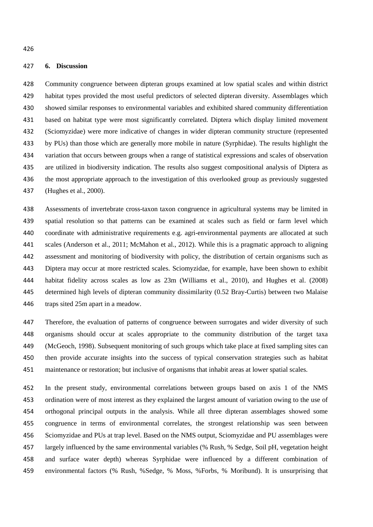#### **6. Discussion**

 Community congruence between dipteran groups examined at low spatial scales and within district habitat types provided the most useful predictors of selected dipteran diversity. Assemblages which showed similar responses to environmental variables and exhibited shared community differentiation based on habitat type were most significantly correlated. Diptera which display limited movement (Sciomyzidae) were more indicative of changes in wider dipteran community structure (represented by PUs) than those which are generally more mobile in nature (Syrphidae). The results highlight the variation that occurs between groups when a range of statistical expressions and scales of observation are utilized in biodiversity indication. The results also suggest compositional analysis of Diptera as the most appropriate approach to the investigation of this overlooked group as previously suggested (Hughes et al., 2000).

 Assessments of invertebrate cross-taxon taxon congruence in agricultural systems may be limited in spatial resolution so that patterns can be examined at scales such as field or farm level which coordinate with administrative requirements e.g. agri-environmental payments are allocated at such scales (Anderson et al., 2011; McMahon et al., 2012). While this is a pragmatic approach to aligning assessment and monitoring of biodiversity with policy, the distribution of certain organisms such as Diptera may occur at more restricted scales. Sciomyzidae, for example, have been shown to exhibit habitat fidelity across scales as low as 23m (Williams et al., 2010), and Hughes et al. (2008) determined high levels of dipteran community dissimilarity (0.52 Bray-Curtis) between two Malaise traps sited 25m apart in a meadow.

 Therefore, the evaluation of patterns of congruence between surrogates and wider diversity of such organisms should occur at scales appropriate to the community distribution of the target taxa (McGeoch, 1998). Subsequent monitoring of such groups which take place at fixed sampling sites can then provide accurate insights into the success of typical conservation strategies such as habitat maintenance or restoration; but inclusive of organisms that inhabit areas at lower spatial scales.

 In the present study, environmental correlations between groups based on axis 1 of the NMS ordination were of most interest as they explained the largest amount of variation owing to the use of orthogonal principal outputs in the analysis. While all three dipteran assemblages showed some congruence in terms of environmental correlates, the strongest relationship was seen between Sciomyzidae and PUs at trap level. Based on the NMS output, Sciomyzidae and PU assemblages were largely influenced by the same environmental variables (% Rush, % Sedge, Soil pH, vegetation height and surface water depth) whereas Syrphidae were influenced by a different combination of environmental factors (% Rush, %Sedge, % Moss, %Forbs, % Moribund). It is unsurprising that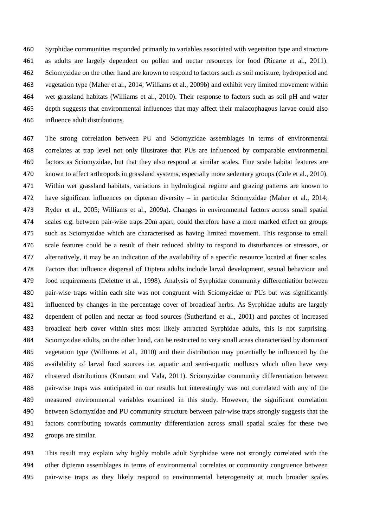Syrphidae communities responded primarily to variables associated with vegetation type and structure as adults are largely dependent on pollen and nectar resources for food (Ricarte et al., 2011). Sciomyzidae on the other hand are known to respond to factors such as soil moisture, hydroperiod and vegetation type (Maher et al., 2014; Williams et al., 2009b) and exhibit very limited movement within wet grassland habitats (Williams et al., 2010). Their response to factors such as soil pH and water depth suggests that environmental influences that may affect their malacophagous larvae could also influence adult distributions.

 The strong correlation between PU and Sciomyzidae assemblages in terms of environmental correlates at trap level not only illustrates that PUs are influenced by comparable environmental factors as Sciomyzidae, but that they also respond at similar scales. Fine scale habitat features are known to affect arthropods in grassland systems, especially more sedentary groups (Cole et al., 2010). Within wet grassland habitats, variations in hydrological regime and grazing patterns are known to have significant influences on dipteran diversity – in particular Sciomyzidae (Maher et al., 2014; Ryder et al., 2005; Williams et al., 2009a). Changes in environmental factors across small spatial scales e.g. between pair-wise traps 20m apart, could therefore have a more marked effect on groups such as Sciomyzidae which are characterised as having limited movement. This response to small scale features could be a result of their reduced ability to respond to disturbances or stressors, or alternatively, it may be an indication of the availability of a specific resource located at finer scales. Factors that influence dispersal of Diptera adults include larval development, sexual behaviour and food requirements (Delettre et al., 1998). Analysis of Syrphidae community differentiation between pair-wise traps within each site was not congruent with Sciomyzidae or PUs but was significantly influenced by changes in the percentage cover of broadleaf herbs. As Syrphidae adults are largely dependent of pollen and nectar as food sources (Sutherland et al., 2001) and patches of increased broadleaf herb cover within sites most likely attracted Syrphidae adults, this is not surprising. Sciomyzidae adults, on the other hand, can be restricted to very small areas characterised by dominant vegetation type (Williams et al., 2010) and their distribution may potentially be influenced by the availability of larval food sources i.e. aquatic and semi-aquatic molluscs which often have very clustered distributions (Knutson and Vala, 2011). Sciomyzidae community differentiation between pair-wise traps was anticipated in our results but interestingly was not correlated with any of the measured environmental variables examined in this study. However, the significant correlation between Sciomyzidae and PU community structure between pair-wise traps strongly suggests that the factors contributing towards community differentiation across small spatial scales for these two groups are similar.

 This result may explain why highly mobile adult Syrphidae were not strongly correlated with the other dipteran assemblages in terms of environmental correlates or community congruence between pair-wise traps as they likely respond to environmental heterogeneity at much broader scales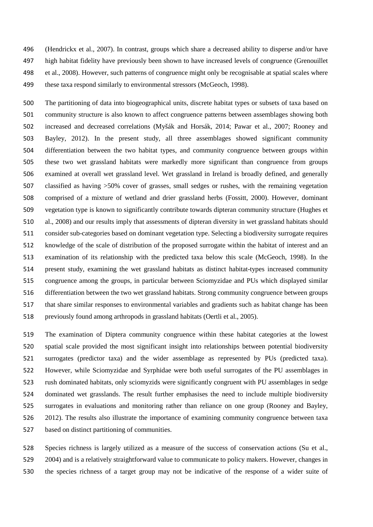(Hendrickx et al., 2007). In contrast, groups which share a decreased ability to disperse and/or have high habitat fidelity have previously been shown to have increased levels of congruence (Grenouillet et al., 2008). However, such patterns of congruence might only be recognisable at spatial scales where these taxa respond similarly to environmental stressors (McGeoch, 1998).

 The partitioning of data into biogeographical units, discrete habitat types or subsets of taxa based on community structure is also known to affect congruence patterns between assemblages showing both increased and decreased correlations (Myšák and Horsák, 2014; Pawar et al., 2007; Rooney and Bayley, 2012). In the present study, all three assemblages showed significant community differentiation between the two habitat types, and community congruence between groups within these two wet grassland habitats were markedly more significant than congruence from groups examined at overall wet grassland level. Wet grassland in Ireland is broadly defined, and generally classified as having >50% cover of grasses, small sedges or rushes, with the remaining vegetation comprised of a mixture of wetland and drier grassland herbs (Fossitt, 2000). However, dominant vegetation type is known to significantly contribute towards dipteran community structure (Hughes et al., 2008) and our results imply that assessments of dipteran diversity in wet grassland habitats should consider sub-categories based on dominant vegetation type. Selecting a biodiversity surrogate requires knowledge of the scale of distribution of the proposed surrogate within the habitat of interest and an examination of its relationship with the predicted taxa below this scale (McGeoch, 1998). In the present study, examining the wet grassland habitats as distinct habitat-types increased community congruence among the groups, in particular between Sciomyzidae and PUs which displayed similar differentiation between the two wet grassland habitats. Strong community congruence between groups that share similar responses to environmental variables and gradients such as habitat change has been previously found among arthropods in grassland habitats (Oertli et al., 2005).

 The examination of Diptera community congruence within these habitat categories at the lowest spatial scale provided the most significant insight into relationships between potential biodiversity surrogates (predictor taxa) and the wider assemblage as represented by PUs (predicted taxa). However, while Sciomyzidae and Syrphidae were both useful surrogates of the PU assemblages in rush dominated habitats, only sciomyzids were significantly congruent with PU assemblages in sedge dominated wet grasslands. The result further emphasises the need to include multiple biodiversity surrogates in evaluations and monitoring rather than reliance on one group (Rooney and Bayley, 2012). The results also illustrate the importance of examining community congruence between taxa based on distinct partitioning of communities.

 Species richness is largely utilized as a measure of the success of conservation actions (Su et al., 2004) and is a relatively straightforward value to communicate to policy makers. However, changes in the species richness of a target group may not be indicative of the response of a wider suite of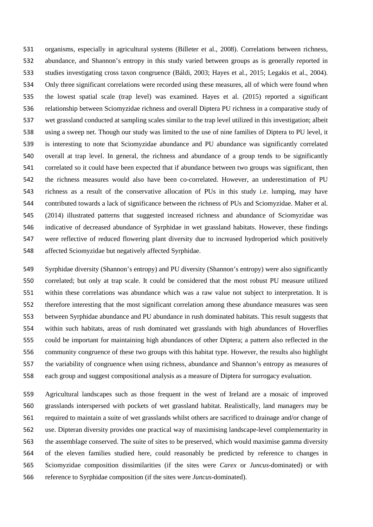organisms, especially in agricultural systems (Billeter et al., 2008). Correlations between richness, abundance, and Shannon's entropy in this study varied between groups as is generally reported in studies investigating cross taxon congruence (Báldi, 2003; Hayes et al., 2015; Legakis et al., 2004). Only three significant correlations were recorded using these measures, all of which were found when the lowest spatial scale (trap level) was examined. Hayes et al. (2015) reported a significant relationship between Sciomyzidae richness and overall Diptera PU richness in a comparative study of wet grassland conducted at sampling scales similar to the trap level utilized in this investigation; albeit using a sweep net. Though our study was limited to the use of nine families of Diptera to PU level, it is interesting to note that Sciomyzidae abundance and PU abundance was significantly correlated overall at trap level. In general, the richness and abundance of a group tends to be significantly correlated so it could have been expected that if abundance between two groups was significant, then the richness measures would also have been co-correlated. However, an underestimation of PU richness as a result of the conservative allocation of PUs in this study i.e. lumping, may have contributed towards a lack of significance between the richness of PUs and Sciomyzidae. Maher et al. (2014) illustrated patterns that suggested increased richness and abundance of Sciomyzidae was indicative of decreased abundance of Syrphidae in wet grassland habitats. However, these findings were reflective of reduced flowering plant diversity due to increased hydroperiod which positively affected Sciomyzidae but negatively affected Syrphidae.

 Syrphidae diversity (Shannon's entropy) and PU diversity (Shannon's entropy) were also significantly correlated; but only at trap scale. It could be considered that the most robust PU measure utilized within these correlations was abundance which was a raw value not subject to interpretation. It is therefore interesting that the most significant correlation among these abundance measures was seen between Syrphidae abundance and PU abundance in rush dominated habitats. This result suggests that within such habitats, areas of rush dominated wet grasslands with high abundances of Hoverflies could be important for maintaining high abundances of other Diptera; a pattern also reflected in the community congruence of these two groups with this habitat type. However, the results also highlight the variability of congruence when using richness, abundance and Shannon's entropy as measures of each group and suggest compositional analysis as a measure of Diptera for surrogacy evaluation.

 Agricultural landscapes such as those frequent in the west of Ireland are a mosaic of improved grasslands interspersed with pockets of wet grassland habitat. Realistically, land managers may be required to maintain a suite of wet grasslands whilst others are sacrificed to drainage and/or change of use. Dipteran diversity provides one practical way of maximising landscape-level complementarity in the assemblage conserved. The suite of sites to be preserved, which would maximise gamma diversity of the eleven families studied here, could reasonably be predicted by reference to changes in Sciomyzidae composition dissimilarities (if the sites were *Carex* or *Juncus*-dominated) or with reference to Syrphidae composition (if the sites were *Juncus*-dominated).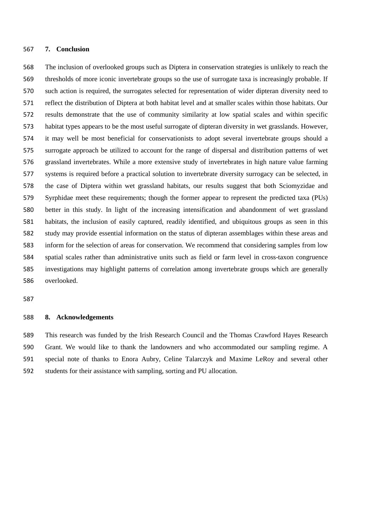#### **7. Conclusion**

 The inclusion of overlooked groups such as Diptera in conservation strategies is unlikely to reach the thresholds of more iconic invertebrate groups so the use of surrogate taxa is increasingly probable. If such action is required, the surrogates selected for representation of wider dipteran diversity need to reflect the distribution of Diptera at both habitat level and at smaller scales within those habitats. Our results demonstrate that the use of community similarity at low spatial scales and within specific habitat types appears to be the most useful surrogate of dipteran diversity in wet grasslands. However, it may well be most beneficial for conservationists to adopt several invertebrate groups should a surrogate approach be utilized to account for the range of dispersal and distribution patterns of wet grassland invertebrates. While a more extensive study of invertebrates in high nature value farming systems is required before a practical solution to invertebrate diversity surrogacy can be selected, in the case of Diptera within wet grassland habitats, our results suggest that both Sciomyzidae and Syrphidae meet these requirements; though the former appear to represent the predicted taxa (PUs) better in this study. In light of the increasing intensification and abandonment of wet grassland habitats, the inclusion of easily captured, readily identified, and ubiquitous groups as seen in this study may provide essential information on the status of dipteran assemblages within these areas and inform for the selection of areas for conservation. We recommend that considering samples from low spatial scales rather than administrative units such as field or farm level in cross-taxon congruence investigations may highlight patterns of correlation among invertebrate groups which are generally overlooked.

#### **8. Acknowledgements**

 This research was funded by the Irish Research Council and the Thomas Crawford Hayes Research Grant. We would like to thank the landowners and who accommodated our sampling regime. A special note of thanks to Enora Aubry, Celine Talarczyk and Maxime LeRoy and several other students for their assistance with sampling, sorting and PU allocation.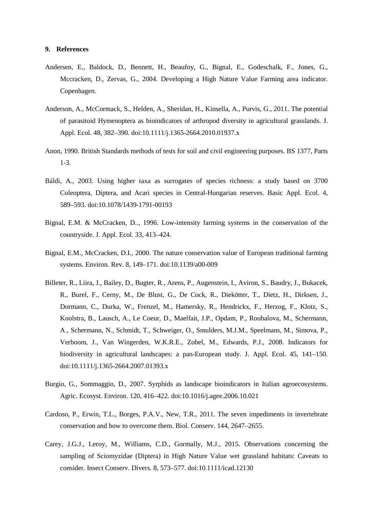#### **9. References**

- Andersen, E., Baldock, D., Bennett, H., Beaufoy, G., Bignal, E., Godeschalk, F., Jones, G., Mccracken, D., Zervas, G., 2004. Developing a High Nature Value Farming area indicator. Copenhagen.
- Anderson, A., McCormack, S., Helden, A., Sheridan, H., Kinsella, A., Purvis, G., 2011. The potential of parasitoid Hymenoptera as bioindicators of arthropod diversity in agricultural grasslands. J. Appl. Ecol. 48, 382–390. doi:10.1111/j.1365-2664.2010.01937.x
- Anon, 1990. British Standards methods of tests for soil and civil engineering purposes. BS 1377, Parts 1-3.
- Báldi, A., 2003. Using higher taxa as surrogates of species richness: a study based on 3700 Coleoptera, Diptera, and Acari species in Central-Hungarian reserves. Basic Appl. Ecol. 4, 589–593. doi:10.1078/1439-1791-00193
- Bignal, E.M. & McCracken, D.., 1996. Low-intensity farming systems in the conservation of the countryside. J. Appl. Ecol. 33, 413–424.
- Bignal, E.M., McCracken, D.I., 2000. The nature conservation value of European traditional farming systems. Environ. Rev. 8, 149–171. doi:10.1139/a00-009
- Billeter, R., Liira, J., Bailey, D., Bugter, R., Arens, P., Augenstein, I., Aviron, S., Baudry, J., Bukacek, R., Burel, F., Cerny, M., De Blust, G., De Cock, R., Diekötter, T., Dietz, H., Dirksen, J., Dormann, C., Durka, W., Frenzel, M., Hamersky, R., Hendrickx, F., Herzog, F., Klotz, S., Koolstra, B., Lausch, A., Le Coeur, D., Maelfait, J.P., Opdam, P., Roubalova, M., Schermann, A., Schermann, N., Schmidt, T., Schweiger, O., Smulders, M.J.M., Speelmans, M., Simova, P., Verboom, J., Van Wingerden, W.K.R.E., Zobel, M., Edwards, P.J., 2008. Indicators for biodiversity in agricultural landscapes: a pan-European study. J. Appl. Ecol. 45, 141–150. doi:10.1111/j.1365-2664.2007.01393.x
- Burgio, G., Sommaggio, D., 2007. Syrphids as landscape bioindicators in Italian agroecosystems. Agric. Ecosyst. Environ. 120, 416–422. doi:10.1016/j.agee.2006.10.021
- Cardoso, P., Erwin, T.L., Borges, P.A.V., New, T.R., 2011. The seven impediments in invertebrate conservation and how to overcome them. Biol. Conserv. 144, 2647–2655.
- Carey, J.G.J., Leroy, M., Williams, C.D., Gormally, M.J., 2015. Observations concerning the sampling of Sciomyzidae (Diptera) in High Nature Value wet grassland habitats: Caveats to consider. Insect Conserv. Divers. 8, 573–577. doi:10.1111/icad.12130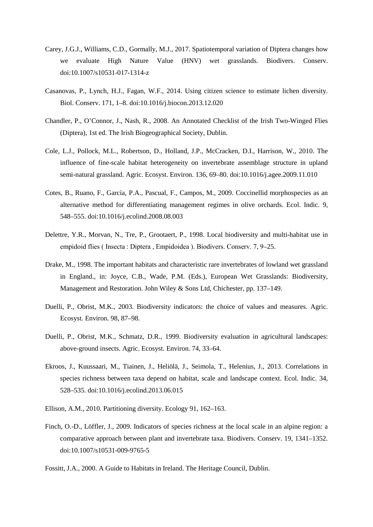- Carey, J.G.J., Williams, C.D., Gormally, M.J., 2017. Spatiotemporal variation of Diptera changes how we evaluate High Nature Value (HNV) wet grasslands. Biodivers. Conserv. doi:10.1007/s10531-017-1314-z
- Casanovas, P., Lynch, H.J., Fagan, W.F., 2014. Using citizen science to estimate lichen diversity. Biol. Conserv. 171, 1–8. doi:10.1016/j.biocon.2013.12.020
- Chandler, P., O'Connor, J., Nash, R., 2008. An Annotated Checklist of the Irish Two-Winged Flies (Diptera), 1st ed. The Irish Biogeographical Society, Dublin.
- Cole, L.J., Pollock, M.L., Robertson, D., Holland, J.P., McCracken, D.I., Harrison, W., 2010. The influence of fine-scale habitat heterogeneity on invertebrate assemblage structure in upland semi-natural grassland. Agric. Ecosyst. Environ. 136, 69–80. doi:10.1016/j.agee.2009.11.010
- Cotes, B., Ruano, F., García, P.A., Pascual, F., Campos, M., 2009. Coccinellid morphospecies as an alternative method for differentiating management regimes in olive orchards. Ecol. Indic. 9, 548–555. doi:10.1016/j.ecolind.2008.08.003
- Delettre, Y.R., Morvan, N., Tre, P., Grootaert, P., 1998. Local biodiversity and multi-habitat use in empidoid flies ( Insecta : Diptera , Empidoidea ). Biodivers. Conserv. 7, 9–25.
- Drake, M., 1998. The important habitats and characteristic rare invertebrates of lowland wet grassland in England., in: Joyce, C.B., Wade, P.M. (Eds.), European Wet Grasslands: Biodiversity, Management and Restoration. John Wiley & Sons Ltd, Chichester, pp. 137–149.
- Duelli, P., Obrist, M.K., 2003. Biodiversity indicators: the choice of values and measures. Agric. Ecosyst. Environ. 98, 87–98.
- Duelli, P., Obrist, M.K., Schmatz, D.R., 1999. Biodiversity evaluation in agricultural landscapes: above-ground insects. Agric. Ecosyst. Environ. 74, 33–64.
- Ekroos, J., Kuussaari, M., Tiainen, J., Heliölä, J., Seimola, T., Helenius, J., 2013. Correlations in species richness between taxa depend on habitat, scale and landscape context. Ecol. Indic. 34, 528–535. doi:10.1016/j.ecolind.2013.06.015
- Ellison, A.M., 2010. Partitioning diversity. Ecology 91, 162–163.
- Finch, O.-D., Löffler, J., 2009. Indicators of species richness at the local scale in an alpine region: a comparative approach between plant and invertebrate taxa. Biodivers. Conserv. 19, 1341–1352. doi:10.1007/s10531-009-9765-5
- Fossitt, J.A., 2000. A Guide to Habitats in Ireland. The Heritage Council, Dublin.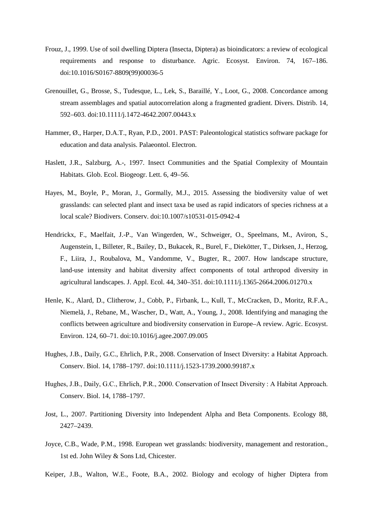- Frouz, J., 1999. Use of soil dwelling Diptera (Insecta, Diptera) as bioindicators: a review of ecological requirements and response to disturbance. Agric. Ecosyst. Environ. 74, 167–186. doi:10.1016/S0167-8809(99)00036-5
- Grenouillet, G., Brosse, S., Tudesque, L., Lek, S., Baraillé, Y., Loot, G., 2008. Concordance among stream assemblages and spatial autocorrelation along a fragmented gradient. Divers. Distrib. 14, 592–603. doi:10.1111/j.1472-4642.2007.00443.x
- Hammer, Ø., Harper, D.A.T., Ryan, P.D., 2001. PAST: Paleontological statistics software package for education and data analysis. Palaeontol. Electron.
- Haslett, J.R., Salzburg, A.-, 1997. Insect Communities and the Spatial Complexity of Mountain Habitats. Glob. Ecol. Biogeogr. Lett. 6, 49–56.
- Hayes, M., Boyle, P., Moran, J., Gormally, M.J., 2015. Assessing the biodiversity value of wet grasslands: can selected plant and insect taxa be used as rapid indicators of species richness at a local scale? Biodivers. Conserv. doi:10.1007/s10531-015-0942-4
- Hendrickx, F., Maelfait, J.-P., Van Wingerden, W., Schweiger, O., Speelmans, M., Aviron, S., Augenstein, I., Billeter, R., Bailey, D., Bukacek, R., Burel, F., Diekötter, T., Dirksen, J., Herzog, F., Liira, J., Roubalova, M., Vandomme, V., Bugter, R., 2007. How landscape structure, land-use intensity and habitat diversity affect components of total arthropod diversity in agricultural landscapes. J. Appl. Ecol. 44, 340–351. doi:10.1111/j.1365-2664.2006.01270.x
- Henle, K., Alard, D., Clitherow, J., Cobb, P., Firbank, L., Kull, T., McCracken, D., Moritz, R.F.A., Niemelä, J., Rebane, M., Wascher, D., Watt, A., Young, J., 2008. Identifying and managing the conflicts between agriculture and biodiversity conservation in Europe–A review. Agric. Ecosyst. Environ. 124, 60–71. doi:10.1016/j.agee.2007.09.005
- Hughes, J.B., Daily, G.C., Ehrlich, P.R., 2008. Conservation of Insect Diversity: a Habitat Approach. Conserv. Biol. 14, 1788–1797. doi:10.1111/j.1523-1739.2000.99187.x
- Hughes, J.B., Daily, G.C., Ehrlich, P.R., 2000. Conservation of Insect Diversity : A Habitat Approach. Conserv. Biol. 14, 1788–1797.
- Jost, L., 2007. Partitioning Diversity into Independent Alpha and Beta Components. Ecology 88, 2427–2439.
- Joyce, C.B., Wade, P.M., 1998. European wet grasslands: biodiversity, management and restoration., 1st ed. John Wiley & Sons Ltd, Chicester.
- Keiper, J.B., Walton, W.E., Foote, B.A., 2002. Biology and ecology of higher Diptera from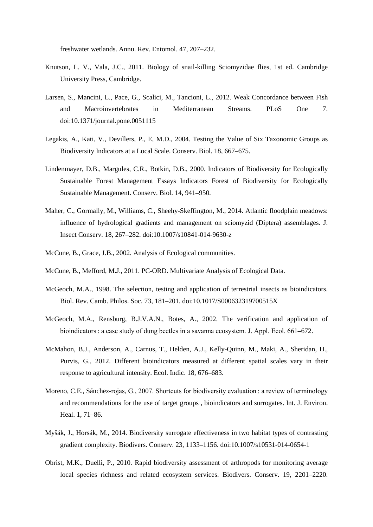freshwater wetlands. Annu. Rev. Entomol. 47, 207–232.

- Knutson, L. V., Vala, J.C., 2011. Biology of snail-killing Sciomyzidae flies, 1st ed. Cambridge University Press, Cambridge.
- Larsen, S., Mancini, L., Pace, G., Scalici, M., Tancioni, L., 2012. Weak Concordance between Fish and Macroinvertebrates in Mediterranean Streams. PLoS One 7. doi:10.1371/journal.pone.0051115
- Legakis, A., Kati, V., Devillers, P., E, M.D., 2004. Testing the Value of Six Taxonomic Groups as Biodiversity Indicators at a Local Scale. Conserv. Biol. 18, 667–675.
- Lindenmayer, D.B., Margules, C.R., Botkin, D.B., 2000. Indicators of Biodiversity for Ecologically Sustainable Forest Management Essays Indicators Forest of Biodiversity for Ecologically Sustainable Management. Conserv. Biol. 14, 941–950.
- Maher, C., Gormally, M., Williams, C., Sheehy-Skeffington, M., 2014. Atlantic floodplain meadows: influence of hydrological gradients and management on sciomyzid (Diptera) assemblages. J. Insect Conserv. 18, 267–282. doi:10.1007/s10841-014-9630-z
- McCune, B., Grace, J.B., 2002. Analysis of Ecological communities.
- McCune, B., Mefford, M.J., 2011. PC-ORD. Multivariate Analysis of Ecological Data.
- McGeoch, M.A., 1998. The selection, testing and application of terrestrial insects as bioindicators. Biol. Rev. Camb. Philos. Soc. 73, 181–201. doi:10.1017/S000632319700515X
- McGeoch, M.A., Rensburg, B.J.V.A.N., Botes, A., 2002. The verification and application of bioindicators : a case study of dung beetles in a savanna ecosystem. J. Appl. Ecol. 661–672.
- McMahon, B.J., Anderson, A., Carnus, T., Helden, A.J., Kelly-Quinn, M., Maki, A., Sheridan, H., Purvis, G., 2012. Different bioindicators measured at different spatial scales vary in their response to agricultural intensity. Ecol. Indic. 18, 676–683.
- Moreno, C.E., Sánchez-rojas, G., 2007. Shortcuts for biodiversity evaluation : a review of terminology and recommendations for the use of target groups , bioindicators and surrogates. Int. J. Environ. Heal. 1, 71–86.
- Myšák, J., Horsák, M., 2014. Biodiversity surrogate effectiveness in two habitat types of contrasting gradient complexity. Biodivers. Conserv. 23, 1133–1156. doi:10.1007/s10531-014-0654-1
- Obrist, M.K., Duelli, P., 2010. Rapid biodiversity assessment of arthropods for monitoring average local species richness and related ecosystem services. Biodivers. Conserv. 19, 2201–2220.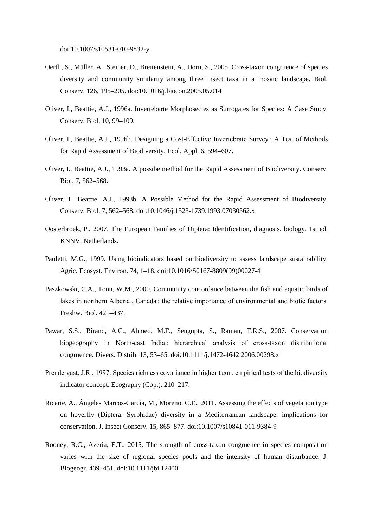doi:10.1007/s10531-010-9832-y

- Oertli, S., Müller, A., Steiner, D., Breitenstein, A., Dorn, S., 2005. Cross-taxon congruence of species diversity and community similarity among three insect taxa in a mosaic landscape. Biol. Conserv. 126, 195–205. doi:10.1016/j.biocon.2005.05.014
- Oliver, I., Beattie, A.J., 1996a. Invertebarte Morphosecies as Surrogates for Species: A Case Study. Conserv. Biol. 10, 99–109.
- Oliver, I., Beattie, A.J., 1996b. Designing a Cost-Effective Invertebrate Survey : A Test of Methods for Rapid Assessment of Biodiversity. Ecol. Appl. 6, 594–607.
- Oliver, I., Beattie, A.J., 1993a. A possibe method for the Rapid Assessment of Biodiversity. Conserv. Biol. 7, 562–568.
- Oliver, I., Beattie, A.J., 1993b. A Possible Method for the Rapid Assessment of Biodiversity. Conserv. Biol. 7, 562–568. doi:10.1046/j.1523-1739.1993.07030562.x
- Oosterbroek, P., 2007. The European Families of Diptera: Identification, diagnosis, biology, 1st ed. KNNV, Netherlands.
- Paoletti, M.G., 1999. Using bioindicators based on biodiversity to assess landscape sustainability. Agric. Ecosyst. Environ. 74, 1–18. doi:10.1016/S0167-8809(99)00027-4
- Paszkowski, C.A., Tonn, W.M., 2000. Community concordance between the fish and aquatic birds of lakes in northern Alberta , Canada : the relative importance of environmental and biotic factors. Freshw. Biol. 421–437.
- Pawar, S.S., Birand, A.C., Ahmed, M.F., Sengupta, S., Raman, T.R.S., 2007. Conservation biogeography in North-east India : hierarchical analysis of cross-taxon distributional congruence. Divers. Distrib. 13, 53–65. doi:10.1111/j.1472-4642.2006.00298.x
- Prendergast, J.R., 1997. Species richness covariance in higher taxa : empirical tests of the biodiversity indicator concept. Ecography (Cop.). 210–217.
- Ricarte, A., Ángeles Marcos-García, M., Moreno, C.E., 2011. Assessing the effects of vegetation type on hoverfly (Diptera: Syrphidae) diversity in a Mediterranean landscape: implications for conservation. J. Insect Conserv. 15, 865–877. doi:10.1007/s10841-011-9384-9
- Rooney, R.C., Azeria, E.T., 2015. The strength of cross-taxon congruence in species composition varies with the size of regional species pools and the intensity of human disturbance. J. Biogeogr. 439–451. doi:10.1111/jbi.12400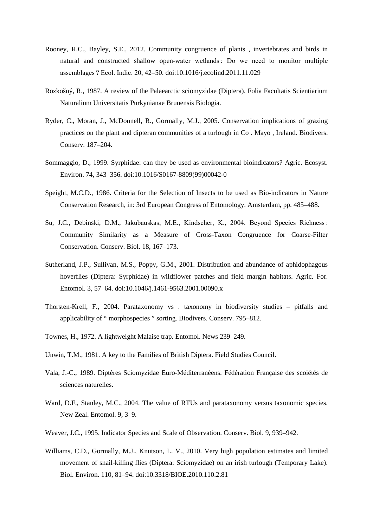- Rooney, R.C., Bayley, S.E., 2012. Community congruence of plants , invertebrates and birds in natural and constructed shallow open-water wetlands : Do we need to monitor multiple assemblages ? Ecol. Indic. 20, 42–50. doi:10.1016/j.ecolind.2011.11.029
- Rozkošný, R., 1987. A review of the Palaearctic sciomyzidae (Diptera). Folia Facultatis Scientiarium Naturalium Universitatis Purkynianae Brunensis Biologia.
- Ryder, C., Moran, J., McDonnell, R., Gormally, M.J., 2005. Conservation implications of grazing practices on the plant and dipteran communities of a turlough in Co . Mayo , Ireland. Biodivers. Conserv. 187–204.
- Sommaggio, D., 1999. Syrphidae: can they be used as environmental bioindicators? Agric. Ecosyst. Environ. 74, 343–356. doi:10.1016/S0167-8809(99)00042-0
- Speight, M.C.D., 1986. Criteria for the Selection of Insects to be used as Bio-indicators in Nature Conservation Research, in: 3rd European Congress of Entomology. Amsterdam, pp. 485–488.
- Su, J.C., Debinski, D.M., Jakubauskas, M.E., Kindscher, K., 2004. Beyond Species Richness : Community Similarity as a Measure of Cross-Taxon Congruence for Coarse-Filter Conservation. Conserv. Biol. 18, 167–173.
- Sutherland, J.P., Sullivan, M.S., Poppy, G.M., 2001. Distribution and abundance of aphidophagous hoverflies (Diptera: Syrphidae) in wildflower patches and field margin habitats. Agric. For. Entomol. 3, 57–64. doi:10.1046/j.1461-9563.2001.00090.x
- Thorsten-Krell, F., 2004. Parataxonomy vs . taxonomy in biodiversity studies pitfalls and applicability of " morphospecies " sorting. Biodivers. Conserv. 795–812.
- Townes, H., 1972. A lightweight Malaise trap. Entomol. News 239–249.
- Unwin, T.M., 1981. A key to the Families of British Diptera. Field Studies Council.
- Vala, J.-C., 1989. Diptères Sciomyzidae Euro-Méditerranéens. Fédération Française des scoiétés de sciences naturelles.
- Ward, D.F., Stanley, M.C., 2004. The value of RTUs and parataxonomy versus taxonomic species. New Zeal. Entomol. 9, 3–9.
- Weaver, J.C., 1995. Indicator Species and Scale of Observation. Conserv. Biol. 9, 939–942.
- Williams, C.D., Gormally, M.J., Knutson, L. V., 2010. Very high population estimates and limited movement of snail-killing flies (Diptera: Sciomyzidae) on an irish turlough (Temporary Lake). Biol. Environ. 110, 81–94. doi:10.3318/BIOE.2010.110.2.81